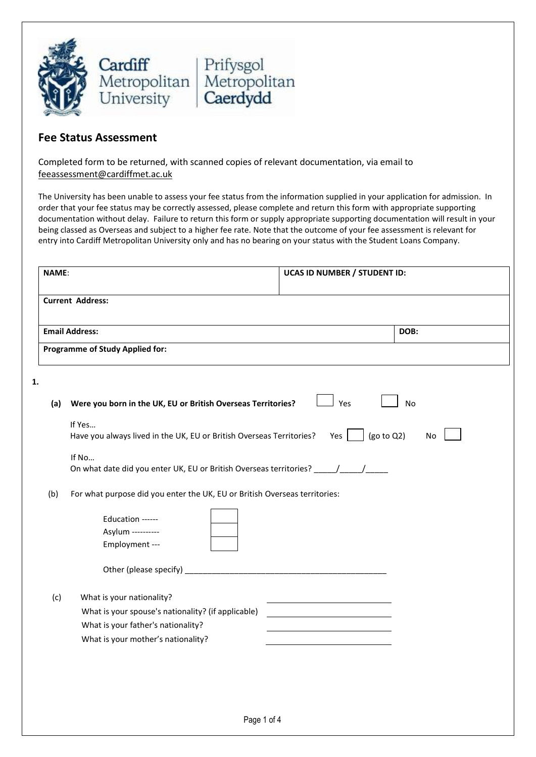

## **Fee Status Assessment**

Completed form to be returned, with scanned copies of relevant documentation, via email to feeassessment@cardiffmet.ac.uk

The University has been unable to assess your fee status from the information supplied in your application for admission. In order that your fee status may be correctly assessed, please complete and return this form with appropriate supporting documentation without delay. Failure to return this form or supply appropriate supporting documentation will result in your being classed as Overseas and subject to a higher fee rate. Note that the outcome of your fee assessment is relevant for entry into Cardiff Metropolitan University only and has no bearing on your status with the Student Loans Company.

| <b>NAME:</b> |                                                                                                                                                             | <b>UCAS ID NUMBER / STUDENT ID:</b> |
|--------------|-------------------------------------------------------------------------------------------------------------------------------------------------------------|-------------------------------------|
|              | <b>Current Address:</b>                                                                                                                                     |                                     |
|              | <b>Email Address:</b>                                                                                                                                       | DOB:                                |
|              | <b>Programme of Study Applied for:</b>                                                                                                                      |                                     |
| 1.           |                                                                                                                                                             |                                     |
| (a)          | Were you born in the UK, EU or British Overseas Territories?                                                                                                | Yes<br>No                           |
|              | If Yes<br>Have you always lived in the UK, EU or British Overseas Territories?                                                                              | (go to Q2)<br>Yes  <br><b>No</b>    |
|              | If No<br>On what date did you enter UK, EU or British Overseas territories? _____/_____/__                                                                  |                                     |
| (b)          | For what purpose did you enter the UK, EU or British Overseas territories:                                                                                  |                                     |
|              | Education ------<br>Asylum ----------<br>Employment ---                                                                                                     |                                     |
|              |                                                                                                                                                             |                                     |
| (c)          | What is your nationality?<br>What is your spouse's nationality? (if applicable)<br>What is your father's nationality?<br>What is your mother's nationality? |                                     |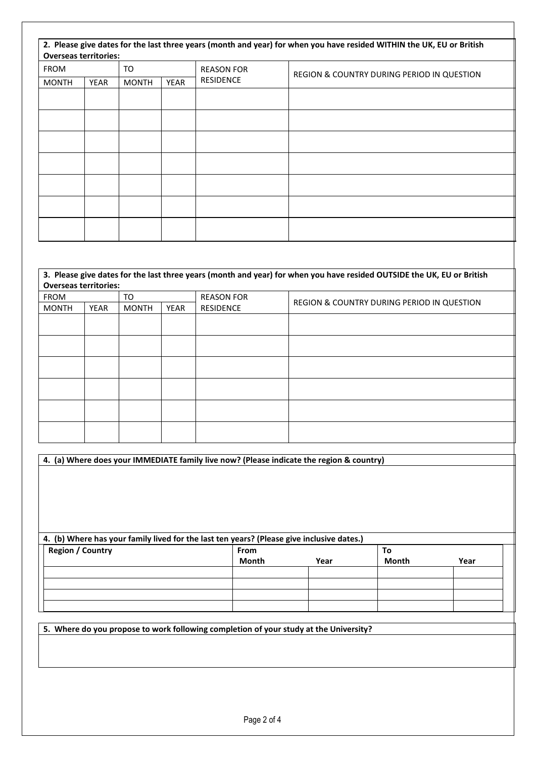| <b>Overseas territories:</b> |      |              |             |                   | 2. Please give dates for the last three years (month and year) for when you have resided WITHIN the UK, EU or British |
|------------------------------|------|--------------|-------------|-------------------|-----------------------------------------------------------------------------------------------------------------------|
| <b>FROM</b>                  |      | TO           |             | <b>REASON FOR</b> | REGION & COUNTRY DURING PERIOD IN QUESTION                                                                            |
| <b>MONTH</b>                 | YEAR | <b>MONTH</b> | <b>YEAR</b> | <b>RESIDENCE</b>  |                                                                                                                       |
|                              |      |              |             |                   |                                                                                                                       |
|                              |      |              |             |                   |                                                                                                                       |
|                              |      |              |             |                   |                                                                                                                       |
|                              |      |              |             |                   |                                                                                                                       |
|                              |      |              |             |                   |                                                                                                                       |
|                              |      |              |             |                   |                                                                                                                       |
|                              |      |              |             |                   |                                                                                                                       |

| 3. Please give dates for the last three years (month and year) for when you have resided OUTSIDE the UK, EU or British |      |              |      |                   |                                            |  |
|------------------------------------------------------------------------------------------------------------------------|------|--------------|------|-------------------|--------------------------------------------|--|
| <b>Overseas territories:</b>                                                                                           |      |              |      |                   |                                            |  |
| <b>FROM</b>                                                                                                            |      | TO           |      | <b>REASON FOR</b> |                                            |  |
| <b>MONTH</b>                                                                                                           | YEAR | <b>MONTH</b> | YEAR | <b>RESIDENCE</b>  | REGION & COUNTRY DURING PERIOD IN QUESTION |  |
|                                                                                                                        |      |              |      |                   |                                            |  |
|                                                                                                                        |      |              |      |                   |                                            |  |
|                                                                                                                        |      |              |      |                   |                                            |  |
|                                                                                                                        |      |              |      |                   |                                            |  |
|                                                                                                                        |      |              |      |                   |                                            |  |
|                                                                                                                        |      |              |      |                   |                                            |  |
|                                                                                                                        |      |              |      |                   |                                            |  |
|                                                                                                                        |      |              |      |                   |                                            |  |
|                                                                                                                        |      |              |      |                   |                                            |  |
|                                                                                                                        |      |              |      |                   |                                            |  |
|                                                                                                                        |      |              |      |                   |                                            |  |
|                                                                                                                        |      |              |      |                   |                                            |  |

| 4. (a) Where does your IMMEDIATE family live now? (Please indicate the region & country)  |             |      |       |      |  |  |  |
|-------------------------------------------------------------------------------------------|-------------|------|-------|------|--|--|--|
|                                                                                           |             |      |       |      |  |  |  |
|                                                                                           |             |      |       |      |  |  |  |
|                                                                                           |             |      |       |      |  |  |  |
|                                                                                           |             |      |       |      |  |  |  |
|                                                                                           |             |      |       |      |  |  |  |
|                                                                                           |             |      |       |      |  |  |  |
|                                                                                           |             |      |       |      |  |  |  |
| 4. (b) Where has your family lived for the last ten years? (Please give inclusive dates.) |             |      |       |      |  |  |  |
| <b>Region / Country</b>                                                                   | <b>From</b> |      | To    |      |  |  |  |
|                                                                                           | Month       | Year | Month | Year |  |  |  |
|                                                                                           |             |      |       |      |  |  |  |
|                                                                                           |             |      |       |      |  |  |  |
|                                                                                           |             |      |       |      |  |  |  |
|                                                                                           |             |      |       |      |  |  |  |
|                                                                                           |             |      |       |      |  |  |  |

**5. Where do you propose to work following completion of your study at the University?**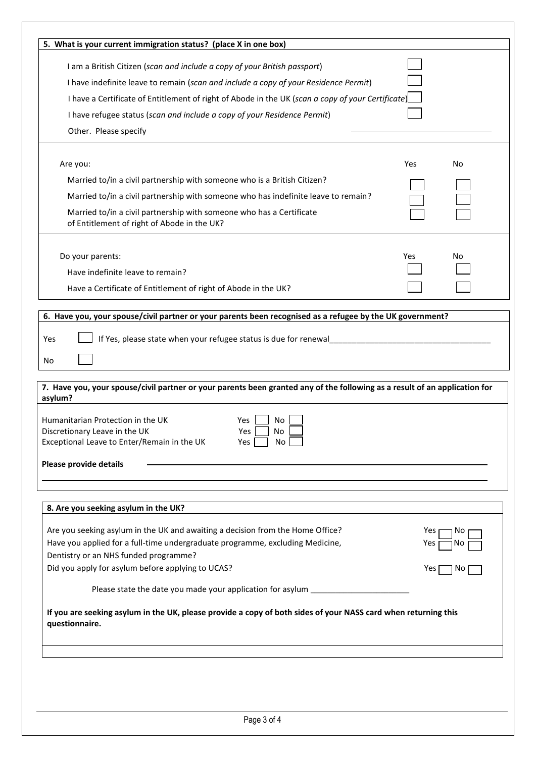| I am a British Citizen (scan and include a copy of your British passport)<br>I have indefinite leave to remain (scan and include a copy of your Residence Permit)<br>I have a Certificate of Entitlement of right of Abode in the UK (scan a copy of your Certificate)<br>I have refugee status (scan and include a copy of your Residence Permit)<br>Other. Please specify<br>Yes<br>No<br>Are you:<br>Married to/in a civil partnership with someone who is a British Citizen?<br>Married to/in a civil partnership with someone who has indefinite leave to remain?<br>Married to/in a civil partnership with someone who has a Certificate<br>of Entitlement of right of Abode in the UK?<br>Do your parents:<br>Yes<br>No<br>Have indefinite leave to remain?<br>Have a Certificate of Entitlement of right of Abode in the UK?<br>6. Have you, your spouse/civil partner or your parents been recognised as a refugee by the UK government?<br>If Yes, please state when your refugee status is due for renewal____<br>Yes<br>No<br>7. Have you, your spouse/civil partner or your parents been granted any of the following as a result of an application for<br>asylum?<br>Humanitarian Protection in the UK<br>Yes<br>No.<br>Yes $\Gamma$<br>No<br>Discretionary Leave in the UK<br>Exceptional Leave to Enter/Remain in the UK<br><b>No</b><br>Yes<br>Please provide details<br>8. Are you seeking asylum in the UK?<br>Are you seeking asylum in the UK and awaiting a decision from the Home Office?<br>Yes<br>No<br>Have you applied for a full-time undergraduate programme, excluding Medicine,<br>Yes<br>No. |                | 5. What is your current immigration status? (place X in one box) |  |
|------------------------------------------------------------------------------------------------------------------------------------------------------------------------------------------------------------------------------------------------------------------------------------------------------------------------------------------------------------------------------------------------------------------------------------------------------------------------------------------------------------------------------------------------------------------------------------------------------------------------------------------------------------------------------------------------------------------------------------------------------------------------------------------------------------------------------------------------------------------------------------------------------------------------------------------------------------------------------------------------------------------------------------------------------------------------------------------------------------------------------------------------------------------------------------------------------------------------------------------------------------------------------------------------------------------------------------------------------------------------------------------------------------------------------------------------------------------------------------------------------------------------------------------------------------------------------------------------------------------------------|----------------|------------------------------------------------------------------|--|
|                                                                                                                                                                                                                                                                                                                                                                                                                                                                                                                                                                                                                                                                                                                                                                                                                                                                                                                                                                                                                                                                                                                                                                                                                                                                                                                                                                                                                                                                                                                                                                                                                              |                |                                                                  |  |
|                                                                                                                                                                                                                                                                                                                                                                                                                                                                                                                                                                                                                                                                                                                                                                                                                                                                                                                                                                                                                                                                                                                                                                                                                                                                                                                                                                                                                                                                                                                                                                                                                              |                |                                                                  |  |
|                                                                                                                                                                                                                                                                                                                                                                                                                                                                                                                                                                                                                                                                                                                                                                                                                                                                                                                                                                                                                                                                                                                                                                                                                                                                                                                                                                                                                                                                                                                                                                                                                              |                |                                                                  |  |
|                                                                                                                                                                                                                                                                                                                                                                                                                                                                                                                                                                                                                                                                                                                                                                                                                                                                                                                                                                                                                                                                                                                                                                                                                                                                                                                                                                                                                                                                                                                                                                                                                              |                |                                                                  |  |
|                                                                                                                                                                                                                                                                                                                                                                                                                                                                                                                                                                                                                                                                                                                                                                                                                                                                                                                                                                                                                                                                                                                                                                                                                                                                                                                                                                                                                                                                                                                                                                                                                              |                |                                                                  |  |
|                                                                                                                                                                                                                                                                                                                                                                                                                                                                                                                                                                                                                                                                                                                                                                                                                                                                                                                                                                                                                                                                                                                                                                                                                                                                                                                                                                                                                                                                                                                                                                                                                              |                |                                                                  |  |
|                                                                                                                                                                                                                                                                                                                                                                                                                                                                                                                                                                                                                                                                                                                                                                                                                                                                                                                                                                                                                                                                                                                                                                                                                                                                                                                                                                                                                                                                                                                                                                                                                              |                |                                                                  |  |
|                                                                                                                                                                                                                                                                                                                                                                                                                                                                                                                                                                                                                                                                                                                                                                                                                                                                                                                                                                                                                                                                                                                                                                                                                                                                                                                                                                                                                                                                                                                                                                                                                              |                |                                                                  |  |
|                                                                                                                                                                                                                                                                                                                                                                                                                                                                                                                                                                                                                                                                                                                                                                                                                                                                                                                                                                                                                                                                                                                                                                                                                                                                                                                                                                                                                                                                                                                                                                                                                              |                |                                                                  |  |
|                                                                                                                                                                                                                                                                                                                                                                                                                                                                                                                                                                                                                                                                                                                                                                                                                                                                                                                                                                                                                                                                                                                                                                                                                                                                                                                                                                                                                                                                                                                                                                                                                              |                |                                                                  |  |
|                                                                                                                                                                                                                                                                                                                                                                                                                                                                                                                                                                                                                                                                                                                                                                                                                                                                                                                                                                                                                                                                                                                                                                                                                                                                                                                                                                                                                                                                                                                                                                                                                              |                |                                                                  |  |
|                                                                                                                                                                                                                                                                                                                                                                                                                                                                                                                                                                                                                                                                                                                                                                                                                                                                                                                                                                                                                                                                                                                                                                                                                                                                                                                                                                                                                                                                                                                                                                                                                              |                |                                                                  |  |
|                                                                                                                                                                                                                                                                                                                                                                                                                                                                                                                                                                                                                                                                                                                                                                                                                                                                                                                                                                                                                                                                                                                                                                                                                                                                                                                                                                                                                                                                                                                                                                                                                              |                |                                                                  |  |
|                                                                                                                                                                                                                                                                                                                                                                                                                                                                                                                                                                                                                                                                                                                                                                                                                                                                                                                                                                                                                                                                                                                                                                                                                                                                                                                                                                                                                                                                                                                                                                                                                              |                |                                                                  |  |
|                                                                                                                                                                                                                                                                                                                                                                                                                                                                                                                                                                                                                                                                                                                                                                                                                                                                                                                                                                                                                                                                                                                                                                                                                                                                                                                                                                                                                                                                                                                                                                                                                              |                |                                                                  |  |
|                                                                                                                                                                                                                                                                                                                                                                                                                                                                                                                                                                                                                                                                                                                                                                                                                                                                                                                                                                                                                                                                                                                                                                                                                                                                                                                                                                                                                                                                                                                                                                                                                              |                |                                                                  |  |
|                                                                                                                                                                                                                                                                                                                                                                                                                                                                                                                                                                                                                                                                                                                                                                                                                                                                                                                                                                                                                                                                                                                                                                                                                                                                                                                                                                                                                                                                                                                                                                                                                              |                |                                                                  |  |
| Dentistry or an NHS funded programme?                                                                                                                                                                                                                                                                                                                                                                                                                                                                                                                                                                                                                                                                                                                                                                                                                                                                                                                                                                                                                                                                                                                                                                                                                                                                                                                                                                                                                                                                                                                                                                                        |                |                                                                  |  |
| Did you apply for asylum before applying to UCAS?<br>Yes<br>No.                                                                                                                                                                                                                                                                                                                                                                                                                                                                                                                                                                                                                                                                                                                                                                                                                                                                                                                                                                                                                                                                                                                                                                                                                                                                                                                                                                                                                                                                                                                                                              |                |                                                                  |  |
| Please state the date you made your application for asylum _____________________                                                                                                                                                                                                                                                                                                                                                                                                                                                                                                                                                                                                                                                                                                                                                                                                                                                                                                                                                                                                                                                                                                                                                                                                                                                                                                                                                                                                                                                                                                                                             |                |                                                                  |  |
| If you are seeking asylum in the UK, please provide a copy of both sides of your NASS card when returning this                                                                                                                                                                                                                                                                                                                                                                                                                                                                                                                                                                                                                                                                                                                                                                                                                                                                                                                                                                                                                                                                                                                                                                                                                                                                                                                                                                                                                                                                                                               |                |                                                                  |  |
|                                                                                                                                                                                                                                                                                                                                                                                                                                                                                                                                                                                                                                                                                                                                                                                                                                                                                                                                                                                                                                                                                                                                                                                                                                                                                                                                                                                                                                                                                                                                                                                                                              | questionnaire. |                                                                  |  |